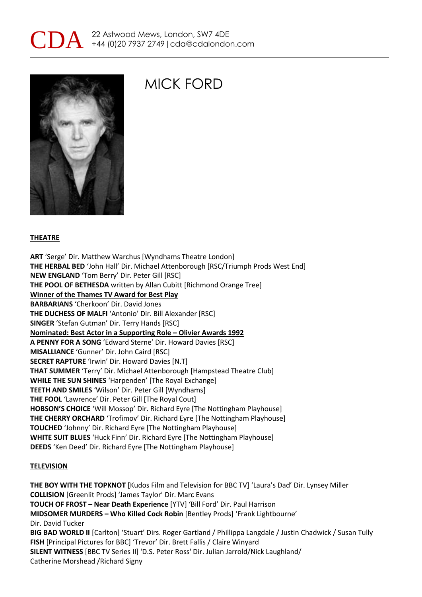



## MICK FORD

#### **THEATRE**

**ART** 'Serge' Dir. Matthew Warchus [Wyndhams Theatre London] **THE HERBAL BED** 'John Hall' Dir. Michael Attenborough [RSC/Triumph Prods West End] **NEW ENGLAND** 'Tom Berry' Dir. Peter Gill [RSC] **THE POOL OF BETHESDA** written by Allan Cubitt [Richmond Orange Tree] **Winner of the Thames TV Award for Best Play BARBARIANS** 'Cherkoon' Dir. David Jones **THE DUCHESS OF MALFI** 'Antonio' Dir. Bill Alexander [RSC] **SINGER** 'Stefan Gutman' Dir. Terry Hands [RSC] **Nominated: Best Actor in a Supporting Role – Olivier Awards 1992 A PENNY FOR A SONG** 'Edward Sterne' Dir. Howard Davies [RSC] **MISALLIANCE** 'Gunner' Dir. John Caird [RSC] **SECRET RAPTURE** 'Irwin' Dir. Howard Davies [N.T] **THAT SUMMER** 'Terry' Dir. Michael Attenborough [Hampstead Theatre Club] **WHILE THE SUN SHINES** 'Harpenden' [The Royal Exchange] **TEETH AND SMILES** 'Wilson' Dir. Peter Gill [Wyndhams] **THE FOOL** 'Lawrence' Dir. Peter Gill [The Royal Cout] **HOBSON'S CHOICE** 'Will Mossop' Dir. Richard Eyre [The Nottingham Playhouse] **THE CHERRY ORCHARD** 'Trofimov' Dir. Richard Eyre [The Nottingham Playhouse] **TOUCHED** 'Johnny' Dir. Richard Eyre [The Nottingham Playhouse] **WHITE SUIT BLUES** 'Huck Finn' Dir. Richard Eyre [The Nottingham Playhouse] **DEEDS** 'Ken Deed' Dir. Richard Eyre [The Nottingham Playhouse]

#### **TELEVISION**

**THE BOY WITH THE TOPKNOT** [Kudos Film and Television for BBC TV] 'Laura's Dad' Dir. Lynsey Miller **COLLISION** [Greenlit Prods] 'James Taylor' Dir. Marc Evans **TOUCH OF FROST – Near Death Experience** [YTV] 'Bill Ford' Dir. Paul Harrison **MIDSOMER MURDERS – Who Killed Cock Robin** [Bentley Prods] 'Frank Lightbourne' Dir. David Tucker **BIG BAD WORLD II** [Carlton] 'Stuart' Dirs. Roger Gartland / Phillippa Langdale / Justin Chadwick / Susan Tully **FISH** [Principal Pictures for BBC] 'Trevor' Dir. Brett Fallis / Claire Winyard **SILENT WITNESS** [BBC TV Series II] 'D.S. Peter Ross' Dir. Julian Jarrold/Nick Laughland/ Catherine Morshead /Richard Signy